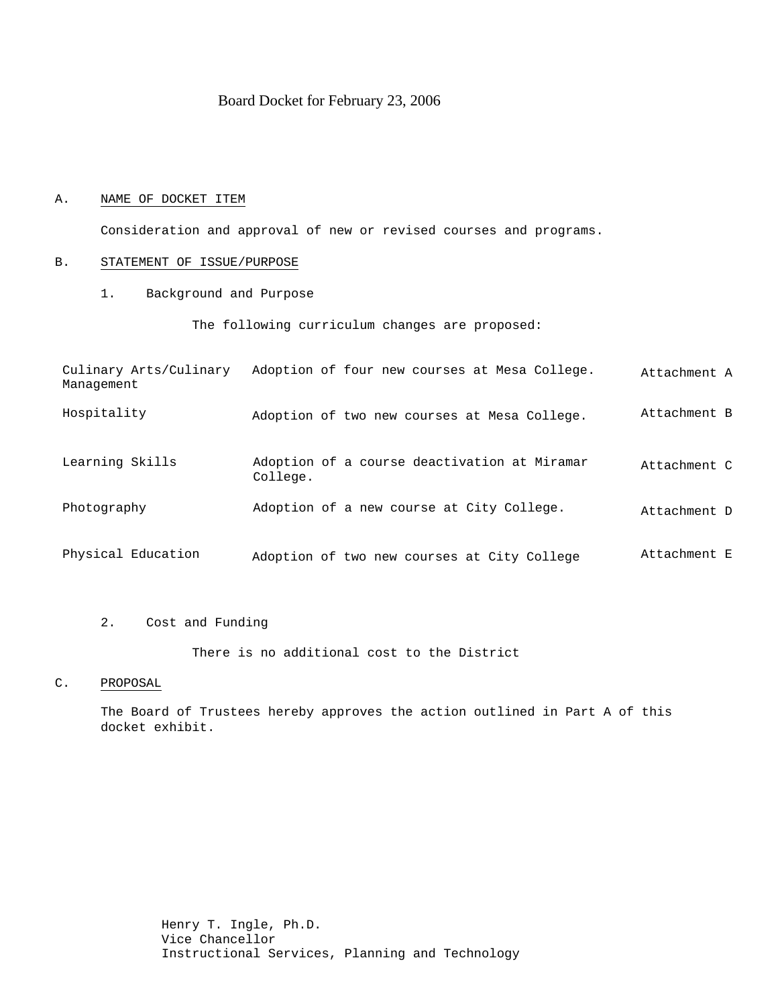# Board Docket for February 23, 2006

### A. NAME OF DOCKET ITEM

Consideration and approval of new or revised courses and programs.

### B. STATEMENT OF ISSUE/PURPOSE

1. Background and Purpose

The following curriculum changes are proposed:

| Culinary Arts/Culinary<br>Management | Adoption of four new courses at Mesa College.            | Attachment A |
|--------------------------------------|----------------------------------------------------------|--------------|
| Hospitality                          | Adoption of two new courses at Mesa College.             | Attachment B |
| Learning Skills                      | Adoption of a course deactivation at Miramar<br>College. | Attachment C |
| Photography                          | Adoption of a new course at City College.                | Attachment D |
| Physical Education                   | Adoption of two new courses at City College              | Attachment E |

# 2. Cost and Funding

There is no additional cost to the District

#### C. PROPOSAL

The Board of Trustees hereby approves the action outlined in Part A of this docket exhibit.

> Henry T. Ingle, Ph.D. Vice Chancellor Instructional Services, Planning and Technology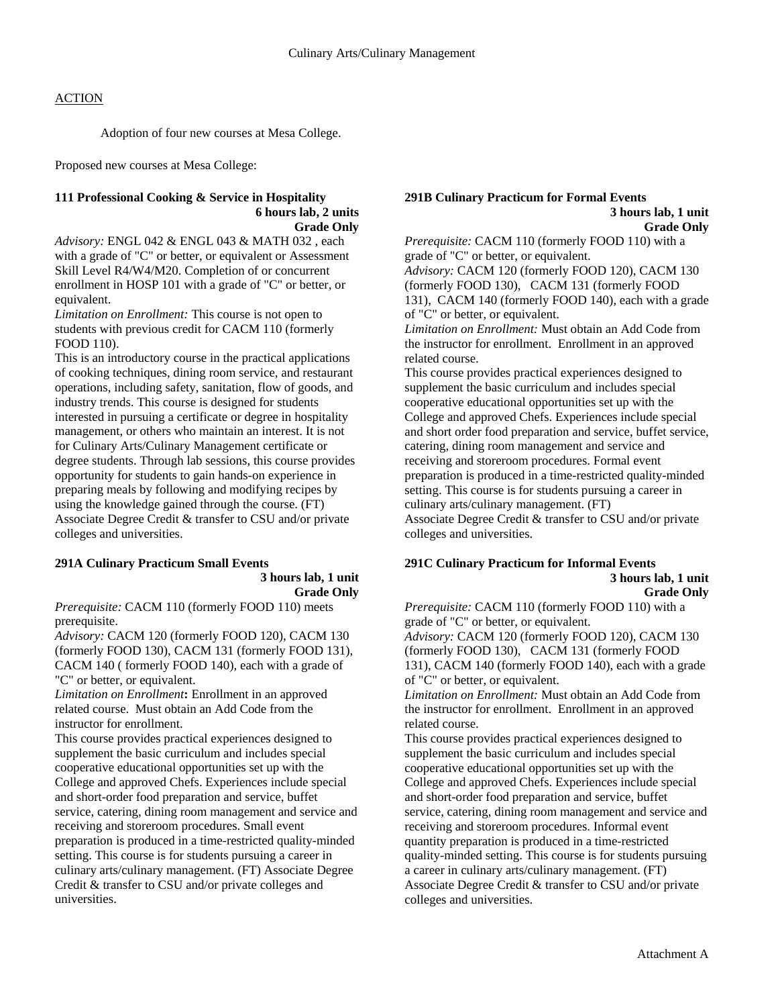Adoption of four new courses at Mesa College.

Proposed new courses at Mesa College:

#### **111 Professional Cooking & Service in Hospitality 6 hours lab, 2 units Grade Only**

*Advisory:* ENGL 042 & ENGL 043 & MATH 032 , each with a grade of "C" or better, or equivalent or Assessment Skill Level R4/W4/M20. Completion of or concurrent enrollment in HOSP 101 with a grade of "C" or better, or equivalent.

*Limitation on Enrollment:* This course is not open to students with previous credit for CACM 110 (formerly FOOD 110).

This is an introductory course in the practical applications of cooking techniques, dining room service, and restaurant operations, including safety, sanitation, flow of goods, and industry trends. This course is designed for students interested in pursuing a certificate or degree in hospitality management, or others who maintain an interest. It is not for Culinary Arts/Culinary Management certificate or degree students. Through lab sessions, this course provides opportunity for students to gain hands-on experience in preparing meals by following and modifying recipes by using the knowledge gained through the course. (FT) Associate Degree Credit & transfer to CSU and/or private colleges and universities.

#### **291A Culinary Practicum Small Events 3 hours lab, 1 unit Grade Only**

*Prerequisite:* CACM 110 (formerly FOOD 110) meets prerequisite.

*Advisory:* CACM 120 (formerly FOOD 120), CACM 130 (formerly FOOD 130), CACM 131 (formerly FOOD 131), CACM 140 ( formerly FOOD 140), each with a grade of "C" or better, or equivalent.

*Limitation on Enrollment***:** Enrollment in an approved related course. Must obtain an Add Code from the instructor for enrollment.

This course provides practical experiences designed to supplement the basic curriculum and includes special cooperative educational opportunities set up with the College and approved Chefs. Experiences include special and short-order food preparation and service, buffet service, catering, dining room management and service and receiving and storeroom procedures. Small event preparation is produced in a time-restricted quality-minded setting. This course is for students pursuing a career in culinary arts/culinary management. (FT) Associate Degree Credit & transfer to CSU and/or private colleges and universities.

#### **291B Culinary Practicum for Formal Events 3 hours lab, 1 unit Grade Only**

*Prerequisite:* CACM 110 (formerly FOOD 110) with a grade of "C" or better, or equivalent. *Advisory:* CACM 120 (formerly FOOD 120), CACM 130 (formerly FOOD 130), CACM 131 (formerly FOOD 131), CACM 140 (formerly FOOD 140), each with a grade of "C" or better, or equivalent.

*Limitation on Enrollment:* Must obtain an Add Code from the instructor for enrollment. Enrollment in an approved related course.

This course provides practical experiences designed to supplement the basic curriculum and includes special cooperative educational opportunities set up with the College and approved Chefs. Experiences include special and short order food preparation and service, buffet service, catering, dining room management and service and receiving and storeroom procedures. Formal event preparation is produced in a time-restricted quality-minded setting. This course is for students pursuing a career in culinary arts/culinary management. (FT) Associate Degree Credit & transfer to CSU and/or private colleges and universities.

#### **291C Culinary Practicum for Informal Events 3 hours lab, 1 unit Grade Only**

*Prerequisite:* CACM 110 (formerly FOOD 110) with a grade of "C" or better, or equivalent. *Advisory:* CACM 120 (formerly FOOD 120), CACM 130 (formerly FOOD 130), CACM 131 (formerly FOOD 131), CACM 140 (formerly FOOD 140), each with a grade of "C" or better, or equivalent.

*Limitation on Enrollment:* Must obtain an Add Code from the instructor for enrollment. Enrollment in an approved related course.

This course provides practical experiences designed to supplement the basic curriculum and includes special cooperative educational opportunities set up with the College and approved Chefs. Experiences include special and short-order food preparation and service, buffet service, catering, dining room management and service and receiving and storeroom procedures. Informal event quantity preparation is produced in a time-restricted quality-minded setting. This course is for students pursuing a career in culinary arts/culinary management. (FT) Associate Degree Credit & transfer to CSU and/or private colleges and universities.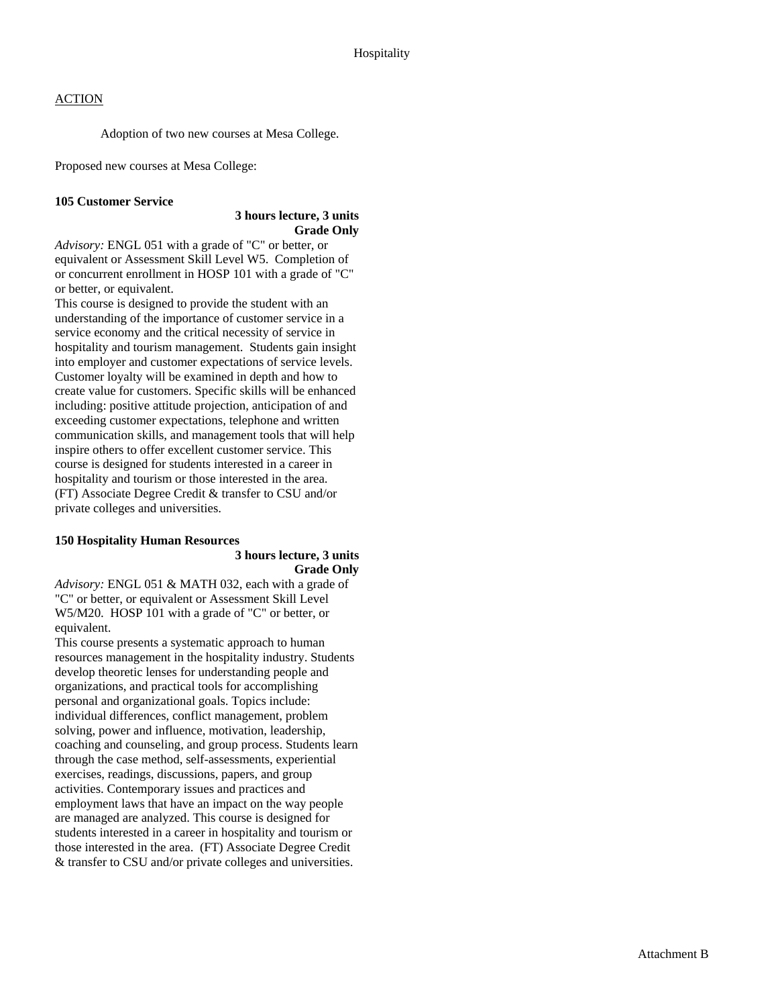Adoption of two new courses at Mesa College.

Proposed new courses at Mesa College:

# **105 Customer Service**

### **3 hours lecture, 3 units Grade Only**

*Advisory:* ENGL 051 with a grade of "C" or better, or equivalent or Assessment Skill Level W5. Completion of or concurrent enrollment in HOSP 101 with a grade of "C" or better, or equivalent.

This course is designed to provide the student with an understanding of the importance of customer service in a service economy and the critical necessity of service in hospitality and tourism management. Students gain insight into employer and customer expectations of service levels. Customer loyalty will be examined in depth and how to create value for customers. Specific skills will be enhanced including: positive attitude projection, anticipation of and exceeding customer expectations, telephone and written communication skills, and management tools that will help inspire others to offer excellent customer service. This course is designed for students interested in a career in hospitality and tourism or those interested in the area. (FT) Associate Degree Credit & transfer to CSU and/or private colleges and universities.

# **150 Hospitality Human Resources**

#### **3 hours lecture, 3 units Grade Only**

*Advisory:* ENGL 051 & MATH 032, each with a grade of "C" or better, or equivalent or Assessment Skill Level W5/M20. HOSP 101 with a grade of "C" or better, or equivalent.

This course presents a systematic approach to human resources management in the hospitality industry. Students develop theoretic lenses for understanding people and organizations, and practical tools for accomplishing personal and organizational goals. Topics include: individual differences, conflict management, problem solving, power and influence, motivation, leadership, coaching and counseling, and group process. Students learn through the case method, self-assessments, experiential exercises, readings, discussions, papers, and group activities. Contemporary issues and practices and employment laws that have an impact on the way people are managed are analyzed. This course is designed for students interested in a career in hospitality and tourism or those interested in the area. (FT) Associate Degree Credit & transfer to CSU and/or private colleges and universities.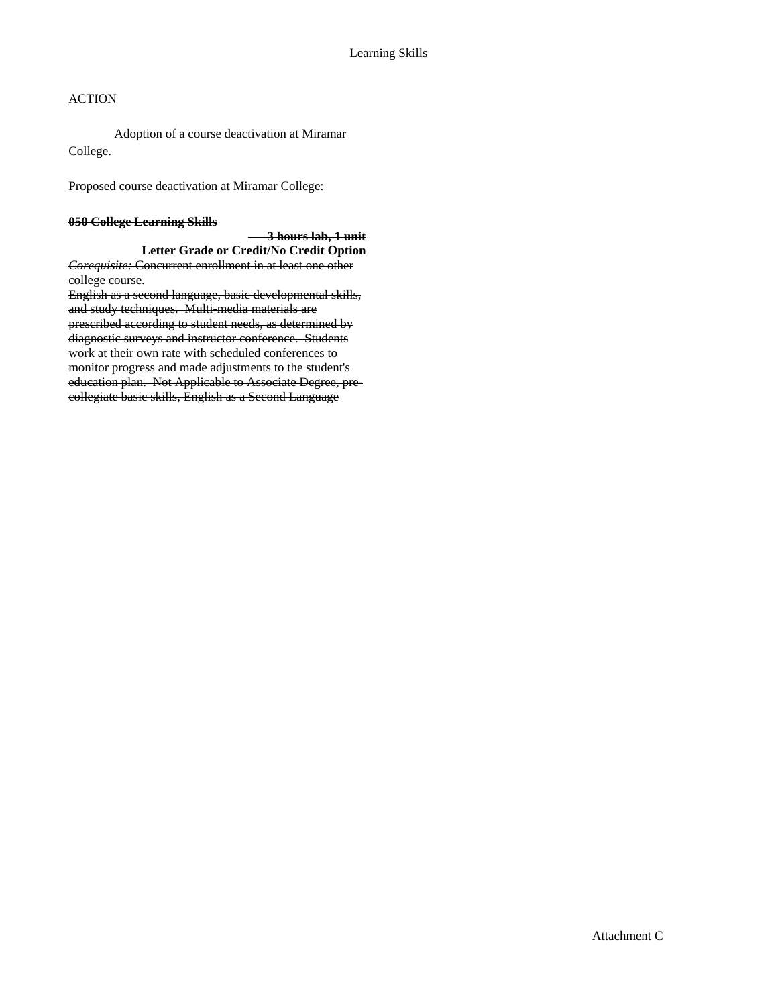Adoption of a course deactivation at Miramar College.

Proposed course deactivation at Miramar College:

#### **050 College Learning Skills**

 **3 hours lab, 1 unit Letter Grade or Credit/No Credit Option** *Corequisite:* Concurrent enrollment in at least one other college course.

English as a second language, basic developmental skills, and study techniques. Multi-media materials are prescribed according to student needs, as determined by diagnostic surveys and instructor conference. Students work at their own rate with scheduled conferences to monitor progress and made adjustments to the student's education plan. Not Applicable to Associate Degree, precollegiate basic skills, English as a Second Language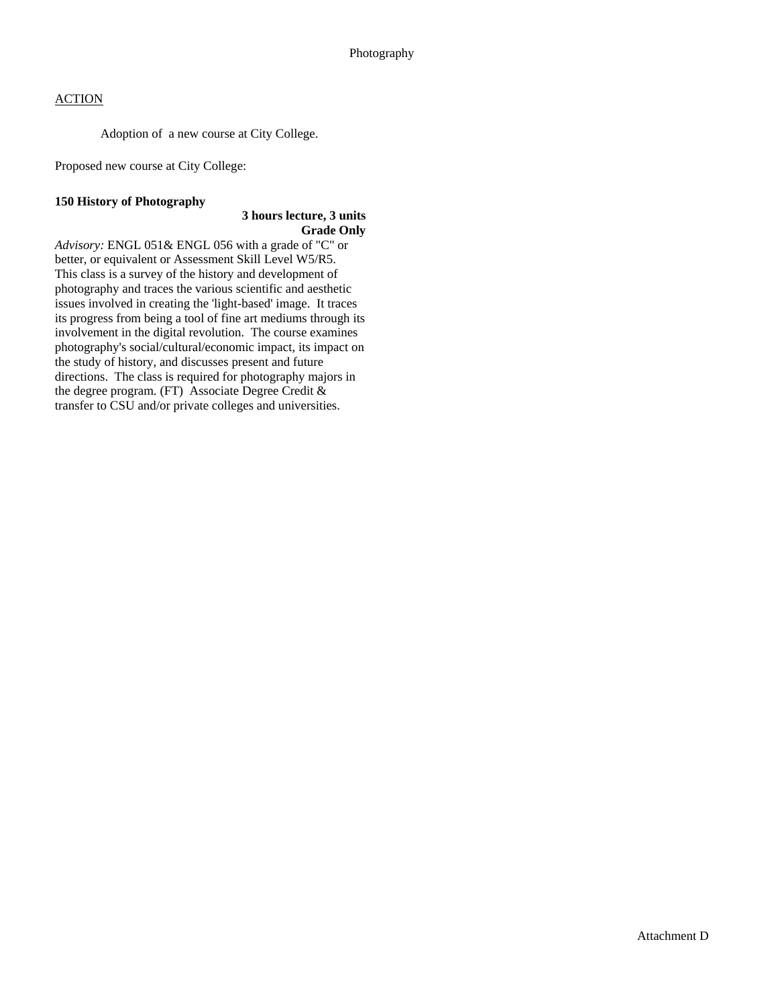Adoption of a new course at City College.

Proposed new course at City College:

#### **150 History of Photography**

# **3 hours lecture, 3 units Grade Only**

*Advisory:* ENGL 051& ENGL 056 with a grade of "C" or better, or equivalent or Assessment Skill Level W5/R5. This class is a survey of the history and development of photography and traces the various scientific and aesthetic issues involved in creating the 'light-based' image. It traces its progress from being a tool of fine art mediums through its involvement in the digital revolution. The course examines photography's social/cultural/economic impact, its impact on the study of history, and discusses present and future directions. The class is required for photography majors in the degree program. (FT) Associate Degree Credit & transfer to CSU and/or private colleges and universities.